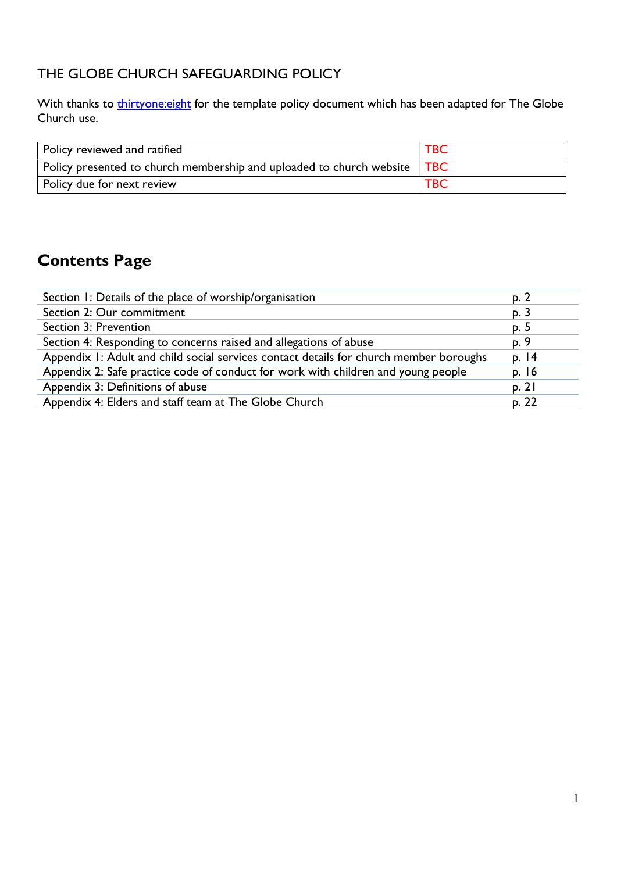## THE GLOBE CHURCH SAFEGUARDING POLICY

With thanks to *thirtyone:eight* for the template policy document which has been adapted for The Globe Church use.

| Policy reviewed and ratified                                                 | $\mathsf{T}\mathsf{B}\mathsf{C}$ |
|------------------------------------------------------------------------------|----------------------------------|
| Policy presented to church membership and uploaded to church website $ $ TBC |                                  |
| Policy due for next review                                                   | <b>TBC</b>                       |

## Contents Page

| Section 1: Details of the place of worship/organisation                                | p. 2  |
|----------------------------------------------------------------------------------------|-------|
| Section 2: Our commitment                                                              | p. 3  |
| Section 3: Prevention                                                                  | p. 5  |
| Section 4: Responding to concerns raised and allegations of abuse                      | p. 9  |
| Appendix 1: Adult and child social services contact details for church member boroughs | p. 14 |
| Appendix 2: Safe practice code of conduct for work with children and young people      | p. 16 |
| Appendix 3: Definitions of abuse                                                       | p. 21 |
| Appendix 4: Elders and staff team at The Globe Church                                  | p. 22 |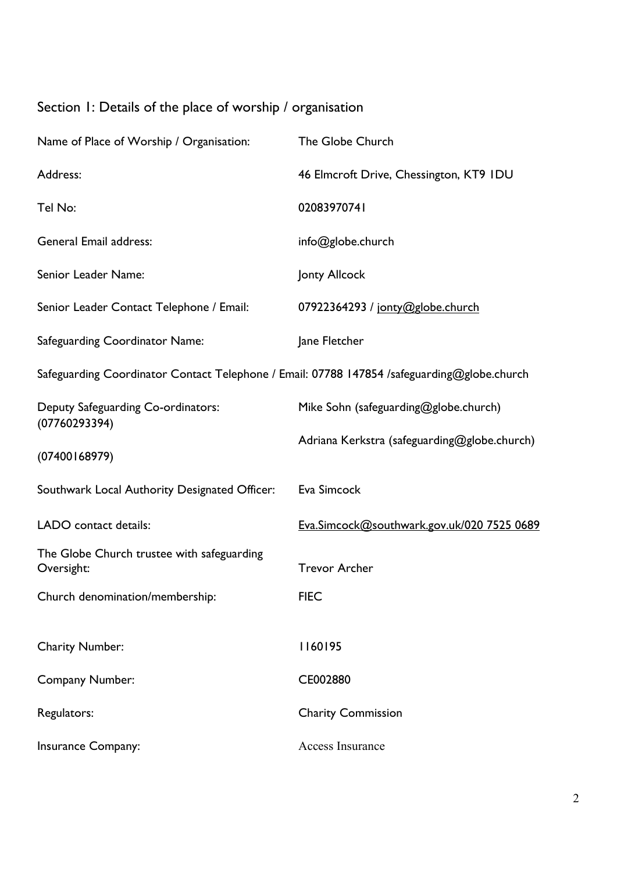# Section 1: Details of the place of worship / organisation

| Name of Place of Worship / Organisation:                                                    | The Globe Church                             |
|---------------------------------------------------------------------------------------------|----------------------------------------------|
| Address:                                                                                    | 46 Elmcroft Drive, Chessington, KT9 IDU      |
| Tel No:                                                                                     | 02083970741                                  |
| <b>General Email address:</b>                                                               | info@globe.church                            |
| Senior Leader Name:                                                                         | Jonty Allcock                                |
| Senior Leader Contact Telephone / Email:                                                    | 07922364293 / jonty@globe.church             |
| <b>Safeguarding Coordinator Name:</b>                                                       | Jane Fletcher                                |
| Safeguarding Coordinator Contact Telephone / Email: 07788 147854 /safeguarding@globe.church |                                              |
| Deputy Safeguarding Co-ordinators:<br>(07760293394)                                         | Mike Sohn (safeguarding@globe.church)        |
|                                                                                             | Adriana Kerkstra (safeguarding@globe.church) |
| (07400168979)                                                                               |                                              |
| Southwark Local Authority Designated Officer:                                               | Eva Simcock                                  |
| LADO contact details:                                                                       | Eva.Simcock@southwark.gov.uk/020 7525 0689   |
| The Globe Church trustee with safeguarding<br>Oversight:                                    | <b>Trevor Archer</b>                         |
| Church denomination/membership:                                                             | <b>FIEC</b>                                  |
|                                                                                             |                                              |
| <b>Charity Number:</b>                                                                      | 1160195                                      |
| <b>Company Number:</b>                                                                      | CE002880                                     |
| Regulators:                                                                                 | <b>Charity Commission</b>                    |
| Insurance Company:                                                                          | <b>Access Insurance</b>                      |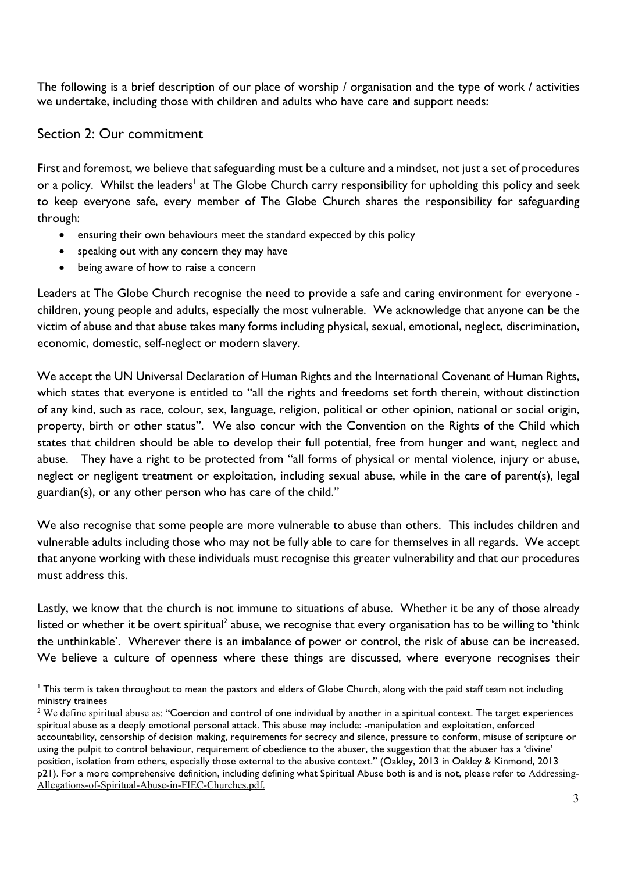The following is a brief description of our place of worship / organisation and the type of work / activities we undertake, including those with children and adults who have care and support needs:

#### Section 2: Our commitment

First and foremost, we believe that safeguarding must be a culture and a mindset, not just a set of procedures or a policy. Whilst the leaders<sup>1</sup> at The Globe Church carry responsibility for upholding this policy and seek to keep everyone safe, every member of The Globe Church shares the responsibility for safeguarding through:

- ensuring their own behaviours meet the standard expected by this policy
- speaking out with any concern they may have
- being aware of how to raise a concern

Leaders at The Globe Church recognise the need to provide a safe and caring environment for everyone children, young people and adults, especially the most vulnerable. We acknowledge that anyone can be the victim of abuse and that abuse takes many forms including physical, sexual, emotional, neglect, discrimination, economic, domestic, self-neglect or modern slavery.

We accept the UN Universal Declaration of Human Rights and the International Covenant of Human Rights, which states that everyone is entitled to "all the rights and freedoms set forth therein, without distinction of any kind, such as race, colour, sex, language, religion, political or other opinion, national or social origin, property, birth or other status". We also concur with the Convention on the Rights of the Child which states that children should be able to develop their full potential, free from hunger and want, neglect and abuse. They have a right to be protected from "all forms of physical or mental violence, injury or abuse, neglect or negligent treatment or exploitation, including sexual abuse, while in the care of parent(s), legal guardian(s), or any other person who has care of the child."

We also recognise that some people are more vulnerable to abuse than others. This includes children and vulnerable adults including those who may not be fully able to care for themselves in all regards. We accept that anyone working with these individuals must recognise this greater vulnerability and that our procedures must address this.

Lastly, we know that the church is not immune to situations of abuse. Whether it be any of those already listed or whether it be overt spiritual<sup>2</sup> abuse, we recognise that every organisation has to be willing to 'think the unthinkable'. Wherever there is an imbalance of power or control, the risk of abuse can be increased. We believe a culture of openness where these things are discussed, where everyone recognises their

 $1$  This term is taken throughout to mean the pastors and elders of Globe Church, along with the paid staff team not including ministry trainees

<sup>&</sup>lt;sup>2</sup> We define spiritual abuse as: "Coercion and control of one individual by another in a spiritual context. The target experiences spiritual abuse as a deeply emotional personal attack. This abuse may include: -manipulation and exploitation, enforced accountability, censorship of decision making, requirements for secrecy and silence, pressure to conform, misuse of scripture or using the pulpit to control behaviour, requirement of obedience to the abuser, the suggestion that the abuser has a 'divine' position, isolation from others, especially those external to the abusive context." (Oakley, 2013 in Oakley & Kinmond, 2013 p21). For a more comprehensive definition, including defining what Spiritual Abuse both is and is not, please refer to Addressing-Allegations-of-Spiritual-Abuse-in-FIEC-Churches.pdf.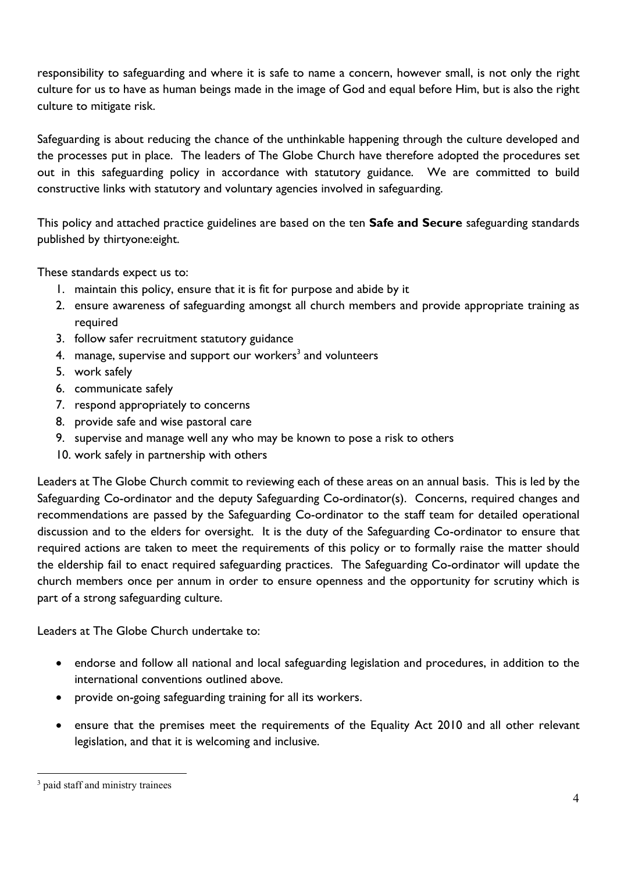responsibility to safeguarding and where it is safe to name a concern, however small, is not only the right culture for us to have as human beings made in the image of God and equal before Him, but is also the right culture to mitigate risk.

Safeguarding is about reducing the chance of the unthinkable happening through the culture developed and the processes put in place. The leaders of The Globe Church have therefore adopted the procedures set out in this safeguarding policy in accordance with statutory guidance. We are committed to build constructive links with statutory and voluntary agencies involved in safeguarding.

This policy and attached practice guidelines are based on the ten Safe and Secure safeguarding standards published by thirtyone:eight.

These standards expect us to:

- 1. maintain this policy, ensure that it is fit for purpose and abide by it
- 2. ensure awareness of safeguarding amongst all church members and provide appropriate training as required
- 3. follow safer recruitment statutory guidance
- 4. manage, supervise and support our workers<sup>3</sup> and volunteers
- 5. work safely
- 6. communicate safely
- 7. respond appropriately to concerns
- 8. provide safe and wise pastoral care
- 9. supervise and manage well any who may be known to pose a risk to others
- 10. work safely in partnership with others

Leaders at The Globe Church commit to reviewing each of these areas on an annual basis. This is led by the Safeguarding Co-ordinator and the deputy Safeguarding Co-ordinator(s). Concerns, required changes and recommendations are passed by the Safeguarding Co-ordinator to the staff team for detailed operational discussion and to the elders for oversight. It is the duty of the Safeguarding Co-ordinator to ensure that required actions are taken to meet the requirements of this policy or to formally raise the matter should the eldership fail to enact required safeguarding practices. The Safeguarding Co-ordinator will update the church members once per annum in order to ensure openness and the opportunity for scrutiny which is part of a strong safeguarding culture.

Leaders at The Globe Church undertake to:

- endorse and follow all national and local safeguarding legislation and procedures, in addition to the international conventions outlined above.
- provide on-going safeguarding training for all its workers.
- ensure that the premises meet the requirements of the Equality Act 2010 and all other relevant legislation, and that it is welcoming and inclusive.

<sup>&</sup>lt;sup>3</sup> paid staff and ministry trainees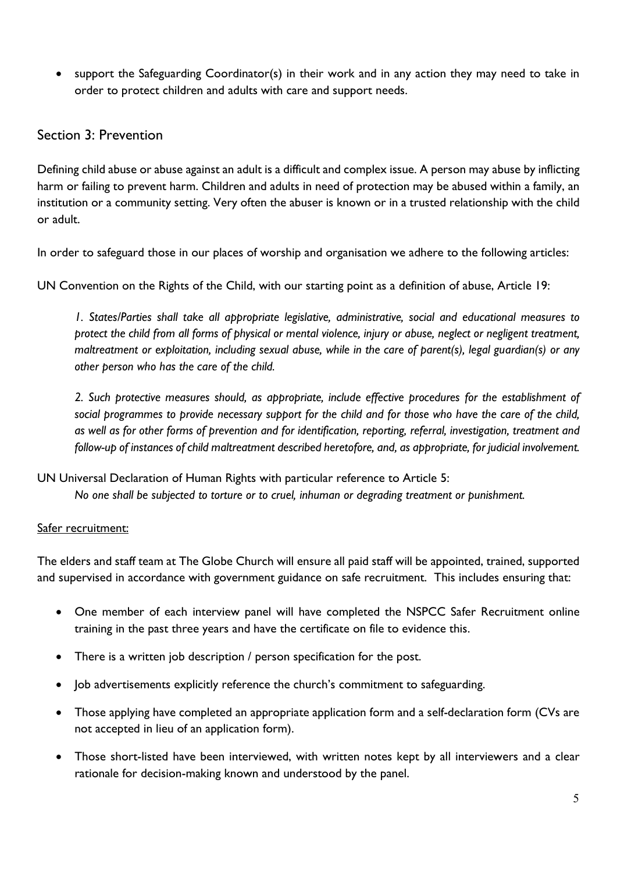support the Safeguarding Coordinator(s) in their work and in any action they may need to take in order to protect children and adults with care and support needs.

#### Section 3: Prevention

Defining child abuse or abuse against an adult is a difficult and complex issue. A person may abuse by inflicting harm or failing to prevent harm. Children and adults in need of protection may be abused within a family, an institution or a community setting. Very often the abuser is known or in a trusted relationship with the child or adult.

In order to safeguard those in our places of worship and organisation we adhere to the following articles:

UN Convention on the Rights of the Child, with our starting point as a definition of abuse, Article 19:

1. States/Parties shall take all appropriate legislative, administrative, social and educational measures to protect the child from all forms of physical or mental violence, injury or abuse, neglect or negligent treatment, maltreatment or exploitation, including sexual abuse, while in the care of parent(s), legal guardian(s) or any other person who has the care of the child.

2. Such protective measures should, as appropriate, include effective procedures for the establishment of social programmes to provide necessary support for the child and for those who have the care of the child, as well as for other forms of prevention and for identification, reporting, referral, investigation, treatment and follow-up of instances of child maltreatment described heretofore, and, as appropriate, for judicial involvement.

UN Universal Declaration of Human Rights with particular reference to Article 5:

No one shall be subjected to torture or to cruel, inhuman or degrading treatment or punishment.

#### Safer recruitment:

The elders and staff team at The Globe Church will ensure all paid staff will be appointed, trained, supported and supervised in accordance with government guidance on safe recruitment. This includes ensuring that:

- One member of each interview panel will have completed the NSPCC Safer Recruitment online training in the past three years and have the certificate on file to evidence this.
- There is a written job description / person specification for the post.
- Job advertisements explicitly reference the church's commitment to safeguarding.
- Those applying have completed an appropriate application form and a self-declaration form (CVs are not accepted in lieu of an application form).
- Those short-listed have been interviewed, with written notes kept by all interviewers and a clear rationale for decision-making known and understood by the panel.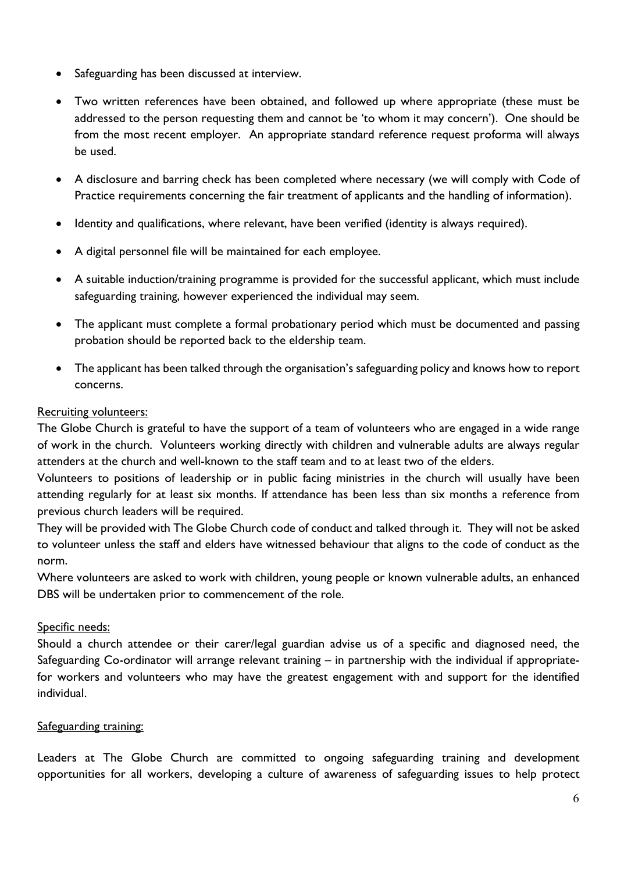- Safeguarding has been discussed at interview.
- Two written references have been obtained, and followed up where appropriate (these must be addressed to the person requesting them and cannot be 'to whom it may concern'). One should be from the most recent employer. An appropriate standard reference request proforma will always be used.
- A disclosure and barring check has been completed where necessary (we will comply with Code of Practice requirements concerning the fair treatment of applicants and the handling of information).
- Identity and qualifications, where relevant, have been verified (identity is always required).
- A digital personnel file will be maintained for each employee.
- A suitable induction/training programme is provided for the successful applicant, which must include safeguarding training, however experienced the individual may seem.
- The applicant must complete a formal probationary period which must be documented and passing probation should be reported back to the eldership team.
- The applicant has been talked through the organisation's safeguarding policy and knows how to report concerns.

#### Recruiting volunteers:

The Globe Church is grateful to have the support of a team of volunteers who are engaged in a wide range of work in the church. Volunteers working directly with children and vulnerable adults are always regular attenders at the church and well-known to the staff team and to at least two of the elders.

Volunteers to positions of leadership or in public facing ministries in the church will usually have been attending regularly for at least six months. If attendance has been less than six months a reference from previous church leaders will be required.

They will be provided with The Globe Church code of conduct and talked through it. They will not be asked to volunteer unless the staff and elders have witnessed behaviour that aligns to the code of conduct as the norm.

Where volunteers are asked to work with children, young people or known vulnerable adults, an enhanced DBS will be undertaken prior to commencement of the role.

#### Specific needs:

Should a church attendee or their carer/legal guardian advise us of a specific and diagnosed need, the Safeguarding Co-ordinator will arrange relevant training – in partnership with the individual if appropriatefor workers and volunteers who may have the greatest engagement with and support for the identified individual.

#### Safeguarding training:

Leaders at The Globe Church are committed to ongoing safeguarding training and development opportunities for all workers, developing a culture of awareness of safeguarding issues to help protect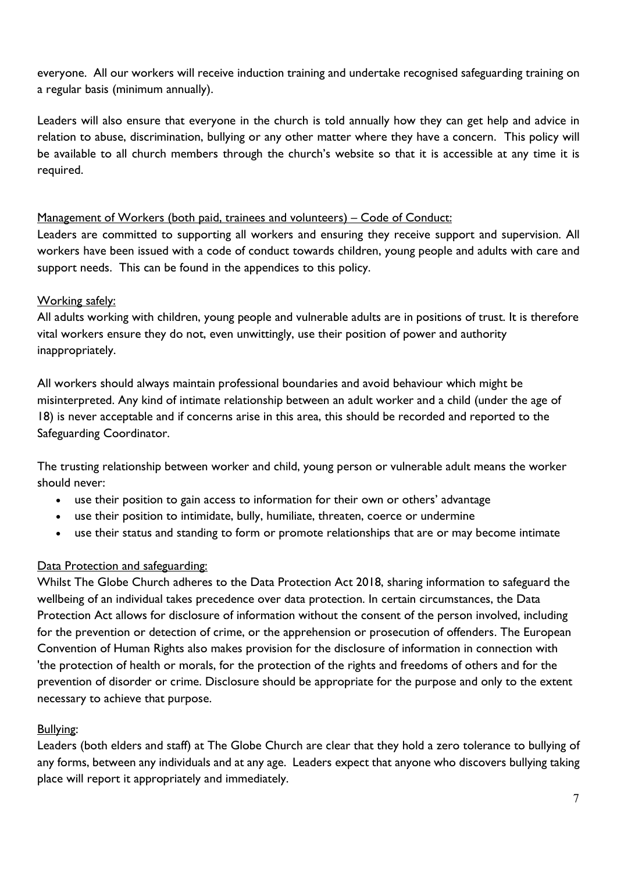everyone. All our workers will receive induction training and undertake recognised safeguarding training on a regular basis (minimum annually).

Leaders will also ensure that everyone in the church is told annually how they can get help and advice in relation to abuse, discrimination, bullying or any other matter where they have a concern. This policy will be available to all church members through the church's website so that it is accessible at any time it is required.

#### Management of Workers (both paid, trainees and volunteers) – Code of Conduct:

Leaders are committed to supporting all workers and ensuring they receive support and supervision. All workers have been issued with a code of conduct towards children, young people and adults with care and support needs. This can be found in the appendices to this policy.

#### Working safely:

All adults working with children, young people and vulnerable adults are in positions of trust. It is therefore vital workers ensure they do not, even unwittingly, use their position of power and authority inappropriately.

All workers should always maintain professional boundaries and avoid behaviour which might be misinterpreted. Any kind of intimate relationship between an adult worker and a child (under the age of 18) is never acceptable and if concerns arise in this area, this should be recorded and reported to the Safeguarding Coordinator.

The trusting relationship between worker and child, young person or vulnerable adult means the worker should never:

- use their position to gain access to information for their own or others' advantage
- use their position to intimidate, bully, humiliate, threaten, coerce or undermine
- use their status and standing to form or promote relationships that are or may become intimate

#### Data Protection and safeguarding:

Whilst The Globe Church adheres to the Data Protection Act 2018, sharing information to safeguard the wellbeing of an individual takes precedence over data protection. In certain circumstances, the Data Protection Act allows for disclosure of information without the consent of the person involved, including for the prevention or detection of crime, or the apprehension or prosecution of offenders. The European Convention of Human Rights also makes provision for the disclosure of information in connection with 'the protection of health or morals, for the protection of the rights and freedoms of others and for the prevention of disorder or crime. Disclosure should be appropriate for the purpose and only to the extent necessary to achieve that purpose.

#### Bullying:

Leaders (both elders and staff) at The Globe Church are clear that they hold a zero tolerance to bullying of any forms, between any individuals and at any age. Leaders expect that anyone who discovers bullying taking place will report it appropriately and immediately.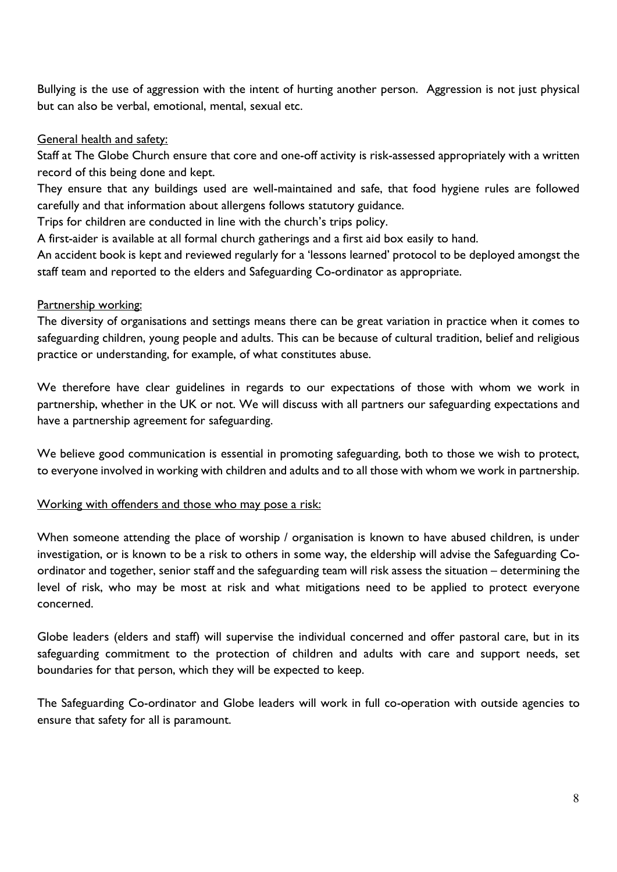Bullying is the use of aggression with the intent of hurting another person. Aggression is not just physical but can also be verbal, emotional, mental, sexual etc.

#### General health and safety:

Staff at The Globe Church ensure that core and one-off activity is risk-assessed appropriately with a written record of this being done and kept.

They ensure that any buildings used are well-maintained and safe, that food hygiene rules are followed carefully and that information about allergens follows statutory guidance.

Trips for children are conducted in line with the church's trips policy.

A first-aider is available at all formal church gatherings and a first aid box easily to hand.

An accident book is kept and reviewed regularly for a 'lessons learned' protocol to be deployed amongst the staff team and reported to the elders and Safeguarding Co-ordinator as appropriate.

#### Partnership working:

The diversity of organisations and settings means there can be great variation in practice when it comes to safeguarding children, young people and adults. This can be because of cultural tradition, belief and religious practice or understanding, for example, of what constitutes abuse.

We therefore have clear guidelines in regards to our expectations of those with whom we work in partnership, whether in the UK or not. We will discuss with all partners our safeguarding expectations and have a partnership agreement for safeguarding.

We believe good communication is essential in promoting safeguarding, both to those we wish to protect, to everyone involved in working with children and adults and to all those with whom we work in partnership.

#### Working with offenders and those who may pose a risk:

When someone attending the place of worship / organisation is known to have abused children, is under investigation, or is known to be a risk to others in some way, the eldership will advise the Safeguarding Coordinator and together, senior staff and the safeguarding team will risk assess the situation – determining the level of risk, who may be most at risk and what mitigations need to be applied to protect everyone concerned.

Globe leaders (elders and staff) will supervise the individual concerned and offer pastoral care, but in its safeguarding commitment to the protection of children and adults with care and support needs, set boundaries for that person, which they will be expected to keep.

The Safeguarding Co-ordinator and Globe leaders will work in full co-operation with outside agencies to ensure that safety for all is paramount.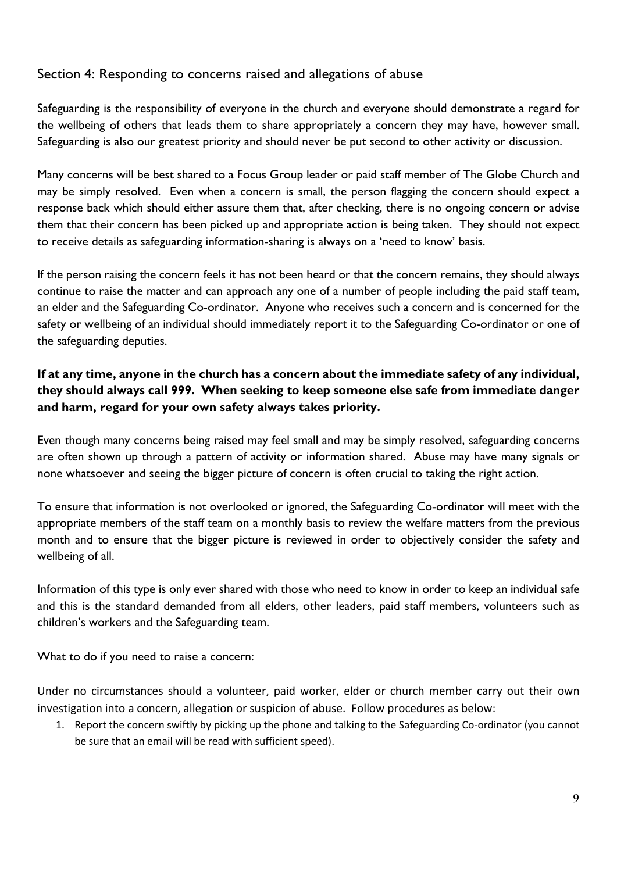#### Section 4: Responding to concerns raised and allegations of abuse

Safeguarding is the responsibility of everyone in the church and everyone should demonstrate a regard for the wellbeing of others that leads them to share appropriately a concern they may have, however small. Safeguarding is also our greatest priority and should never be put second to other activity or discussion.

Many concerns will be best shared to a Focus Group leader or paid staff member of The Globe Church and may be simply resolved. Even when a concern is small, the person flagging the concern should expect a response back which should either assure them that, after checking, there is no ongoing concern or advise them that their concern has been picked up and appropriate action is being taken. They should not expect to receive details as safeguarding information-sharing is always on a 'need to know' basis.

If the person raising the concern feels it has not been heard or that the concern remains, they should always continue to raise the matter and can approach any one of a number of people including the paid staff team, an elder and the Safeguarding Co-ordinator. Anyone who receives such a concern and is concerned for the safety or wellbeing of an individual should immediately report it to the Safeguarding Co-ordinator or one of the safeguarding deputies.

#### If at any time, anyone in the church has a concern about the immediate safety of any individual, they should always call 999. When seeking to keep someone else safe from immediate danger and harm, regard for your own safety always takes priority.

Even though many concerns being raised may feel small and may be simply resolved, safeguarding concerns are often shown up through a pattern of activity or information shared. Abuse may have many signals or none whatsoever and seeing the bigger picture of concern is often crucial to taking the right action.

To ensure that information is not overlooked or ignored, the Safeguarding Co-ordinator will meet with the appropriate members of the staff team on a monthly basis to review the welfare matters from the previous month and to ensure that the bigger picture is reviewed in order to objectively consider the safety and wellbeing of all.

Information of this type is only ever shared with those who need to know in order to keep an individual safe and this is the standard demanded from all elders, other leaders, paid staff members, volunteers such as children's workers and the Safeguarding team.

#### What to do if you need to raise a concern:

Under no circumstances should a volunteer, paid worker, elder or church member carry out their own investigation into a concern, allegation or suspicion of abuse. Follow procedures as below:

1. Report the concern swiftly by picking up the phone and talking to the Safeguarding Co-ordinator (you cannot be sure that an email will be read with sufficient speed).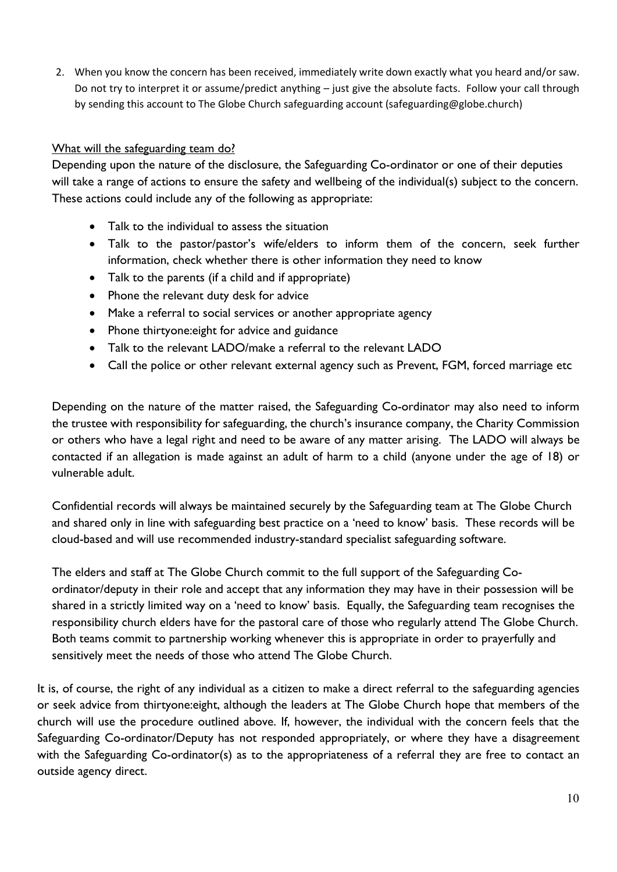2. When you know the concern has been received, immediately write down exactly what you heard and/or saw. Do not try to interpret it or assume/predict anything – just give the absolute facts. Follow your call through by sending this account to The Globe Church safeguarding account (safeguarding@globe.church)

#### What will the safeguarding team do?

Depending upon the nature of the disclosure, the Safeguarding Co-ordinator or one of their deputies will take a range of actions to ensure the safety and wellbeing of the individual(s) subject to the concern. These actions could include any of the following as appropriate:

- Talk to the individual to assess the situation
- Talk to the pastor/pastor's wife/elders to inform them of the concern, seek further information, check whether there is other information they need to know
- Talk to the parents (if a child and if appropriate)
- Phone the relevant duty desk for advice
- Make a referral to social services or another appropriate agency
- Phone thirtyone: eight for advice and guidance
- Talk to the relevant LADO/make a referral to the relevant LADO
- Call the police or other relevant external agency such as Prevent, FGM, forced marriage etc

Depending on the nature of the matter raised, the Safeguarding Co-ordinator may also need to inform the trustee with responsibility for safeguarding, the church's insurance company, the Charity Commission or others who have a legal right and need to be aware of any matter arising. The LADO will always be contacted if an allegation is made against an adult of harm to a child (anyone under the age of 18) or vulnerable adult.

Confidential records will always be maintained securely by the Safeguarding team at The Globe Church and shared only in line with safeguarding best practice on a 'need to know' basis. These records will be cloud-based and will use recommended industry-standard specialist safeguarding software.

 The elders and staff at The Globe Church commit to the full support of the Safeguarding Coordinator/deputy in their role and accept that any information they may have in their possession will be shared in a strictly limited way on a 'need to know' basis. Equally, the Safeguarding team recognises the responsibility church elders have for the pastoral care of those who regularly attend The Globe Church. Both teams commit to partnership working whenever this is appropriate in order to prayerfully and sensitively meet the needs of those who attend The Globe Church.

It is, of course, the right of any individual as a citizen to make a direct referral to the safeguarding agencies or seek advice from thirtyone:eight, although the leaders at The Globe Church hope that members of the church will use the procedure outlined above. If, however, the individual with the concern feels that the Safeguarding Co-ordinator/Deputy has not responded appropriately, or where they have a disagreement with the Safeguarding Co-ordinator(s) as to the appropriateness of a referral they are free to contact an outside agency direct.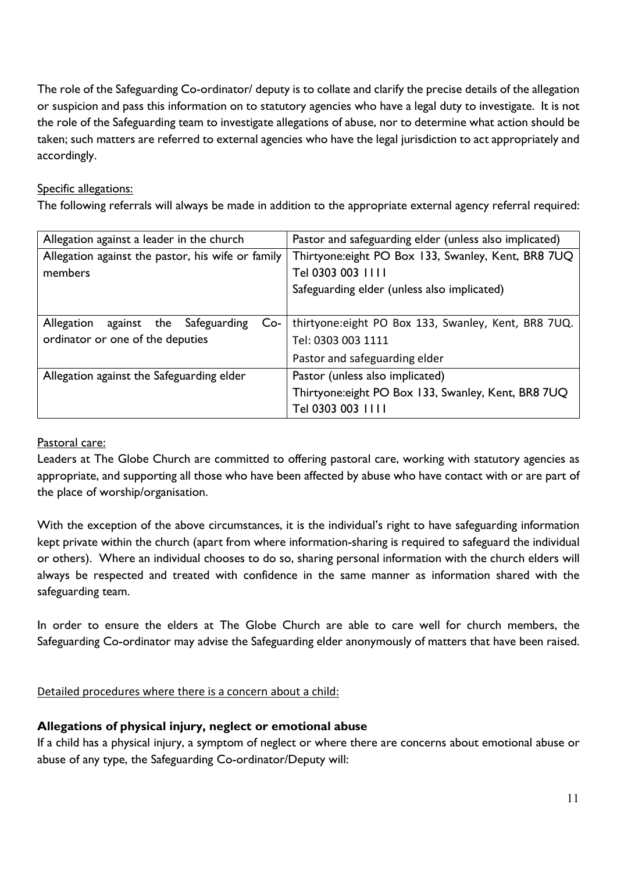The role of the Safeguarding Co-ordinator/ deputy is to collate and clarify the precise details of the allegation or suspicion and pass this information on to statutory agencies who have a legal duty to investigate. It is not the role of the Safeguarding team to investigate allegations of abuse, nor to determine what action should be taken; such matters are referred to external agencies who have the legal jurisdiction to act appropriately and accordingly.

#### Specific allegations:

The following referrals will always be made in addition to the appropriate external agency referral required:

| Allegation against a leader in the church          | Pastor and safeguarding elder (unless also implicated) |
|----------------------------------------------------|--------------------------------------------------------|
| Allegation against the pastor, his wife or family  | Thirtyone: eight PO Box 133, Swanley, Kent, BR8 7UQ    |
| members                                            | Tel 0303 003 1111                                      |
|                                                    | Safeguarding elder (unless also implicated)            |
|                                                    |                                                        |
| Safeguarding<br>Allegation<br>against the<br>$Co-$ | thirtyone: eight PO Box 133, Swanley, Kent, BR8 7UQ.   |
| ordinator or one of the deputies                   | Tel: 0303 003 1111                                     |
|                                                    | Pastor and safeguarding elder                          |
| Allegation against the Safeguarding elder          | Pastor (unless also implicated)                        |
|                                                    | Thirtyone: eight PO Box 133, Swanley, Kent, BR8 7UQ    |
|                                                    | Tel 0303 003 1111                                      |

#### Pastoral care:

Leaders at The Globe Church are committed to offering pastoral care, working with statutory agencies as appropriate, and supporting all those who have been affected by abuse who have contact with or are part of the place of worship/organisation.

With the exception of the above circumstances, it is the individual's right to have safeguarding information kept private within the church (apart from where information-sharing is required to safeguard the individual or others). Where an individual chooses to do so, sharing personal information with the church elders will always be respected and treated with confidence in the same manner as information shared with the safeguarding team.

In order to ensure the elders at The Globe Church are able to care well for church members, the Safeguarding Co-ordinator may advise the Safeguarding elder anonymously of matters that have been raised.

#### Detailed procedures where there is a concern about a child:

#### Allegations of physical injury, neglect or emotional abuse

If a child has a physical injury, a symptom of neglect or where there are concerns about emotional abuse or abuse of any type, the Safeguarding Co-ordinator/Deputy will: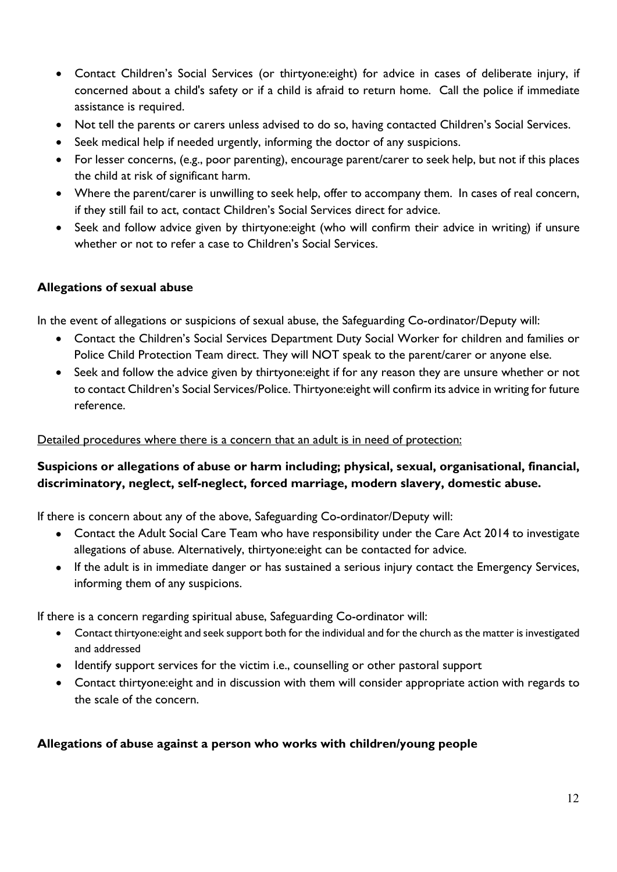- Contact Children's Social Services (or thirtyone:eight) for advice in cases of deliberate injury, if concerned about a child's safety or if a child is afraid to return home. Call the police if immediate assistance is required.
- Not tell the parents or carers unless advised to do so, having contacted Children's Social Services.
- Seek medical help if needed urgently, informing the doctor of any suspicions.
- For lesser concerns, (e.g., poor parenting), encourage parent/carer to seek help, but not if this places the child at risk of significant harm.
- Where the parent/carer is unwilling to seek help, offer to accompany them. In cases of real concern, if they still fail to act, contact Children's Social Services direct for advice.
- Seek and follow advice given by thirtyone: eight (who will confirm their advice in writing) if unsure whether or not to refer a case to Children's Social Services.

#### Allegations of sexual abuse

In the event of allegations or suspicions of sexual abuse, the Safeguarding Co-ordinator/Deputy will:

- Contact the Children's Social Services Department Duty Social Worker for children and families or Police Child Protection Team direct. They will NOT speak to the parent/carer or anyone else.
- Seek and follow the advice given by thirtyone: eight if for any reason they are unsure whether or not to contact Children's Social Services/Police. Thirtyone:eight will confirm its advice in writing for future reference.

#### Detailed procedures where there is a concern that an adult is in need of protection:

#### Suspicions or allegations of abuse or harm including; physical, sexual, organisational, financial, discriminatory, neglect, self-neglect, forced marriage, modern slavery, domestic abuse.

If there is concern about any of the above, Safeguarding Co-ordinator/Deputy will:

- Contact the Adult Social Care Team who have responsibility under the Care Act 2014 to investigate allegations of abuse. Alternatively, thirtyone:eight can be contacted for advice.
- If the adult is in immediate danger or has sustained a serious injury contact the Emergency Services, informing them of any suspicions.

If there is a concern regarding spiritual abuse, Safeguarding Co-ordinator will:

- Contact thirtyone:eight and seek support both for the individual and for the church as the matter is investigated and addressed
- Identify support services for the victim i.e., counselling or other pastoral support
- Contact thirtyone:eight and in discussion with them will consider appropriate action with regards to the scale of the concern.

#### Allegations of abuse against a person who works with children/young people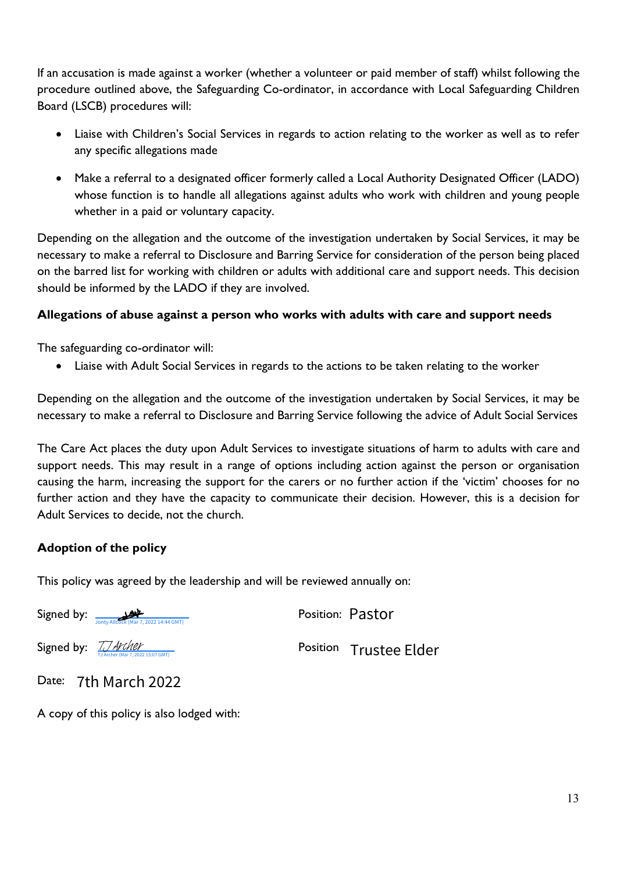If an accusation is made against a worker (whether a volunteer or paid member of staff) whilst following the procedure outlined above, the Safeguarding Co-ordinator, in accordance with Local Safeguarding Children Board (LSCB) procedures will:

- Liaise with Children's Social Services in regards to action relating to the worker as well as to refer any specific allegations made
- Make a referral to a designated officer formerly called a Local Authority Designated Officer (LADO) whose function is to handle all allegations against adults who work with children and young people whether in a paid or voluntary capacity.

Depending on the allegation and the outcome of the investigation undertaken by Social Services, it may be necessary to make a referral to Disclosure and Barring Service for consideration of the person being placed on the barred list for working with children or adults with additional care and support needs. This decision should be informed by the LADO if they are involved.

#### Allegations of abuse against a person who works with adults with care and support needs

The safeguarding co-ordinator will:

Liaise with Adult Social Services in regards to the actions to be taken relating to the worker

Depending on the allegation and the outcome of the investigation undertaken by Social Services, it may be necessary to make a referral to Disclosure and Barring Service following the advice of Adult Social Services

The Care Act places the duty upon Adult Services to investigate situations of harm to adults with care and support needs. This may result in a range of options including action against the person or organisation causing the harm, increasing the support for the carers or no further action if the 'victim' chooses for no further action and they have the capacity to communicate their decision. However, this is a decision for Adult Services to decide, not the church.

#### Adoption of the policy

This policy was agreed by the leadership and will be reviewed annually on:

Signed by:  $\frac{1}{\sqrt{|\text{only Allcock (Mar 7, 2022 14:44 GMT)}|}}$  Position: Pastor

Signed by: TJ Archer

Position Trustee Elder

Date: 7th March 2022

A copy of this policy is also lodged with: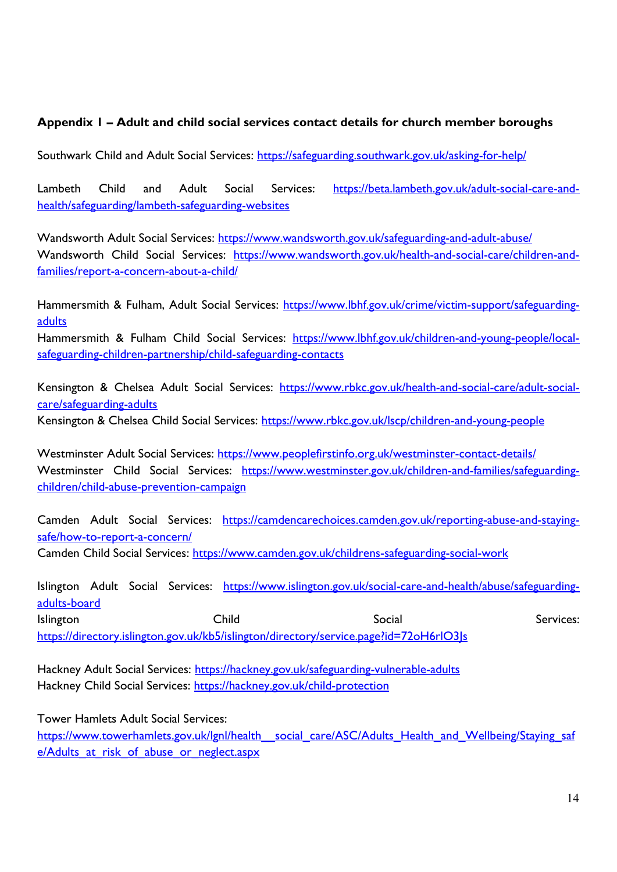#### Appendix 1 – Adult and child social services contact details for church member boroughs

Southwark Child and Adult Social Services: https://safeguarding.southwark.gov.uk/asking-for-help/

Lambeth Child and Adult Social Services: https://beta.lambeth.gov.uk/adult-social-care-andhealth/safeguarding/lambeth-safeguarding-websites

Wandsworth Adult Social Services: https://www.wandsworth.gov.uk/safeguarding-and-adult-abuse/ Wandsworth Child Social Services: https://www.wandsworth.gov.uk/health-and-social-care/children-andfamilies/report-a-concern-about-a-child/

Hammersmith & Fulham, Adult Social Services: https://www.lbhf.gov.uk/crime/victim-support/safeguardingadults

Hammersmith & Fulham Child Social Services: https://www.lbhf.gov.uk/children-and-young-people/localsafeguarding-children-partnership/child-safeguarding-contacts

Kensington & Chelsea Adult Social Services: https://www.rbkc.gov.uk/health-and-social-care/adult-socialcare/safeguarding-adults

Kensington & Chelsea Child Social Services: https://www.rbkc.gov.uk/lscp/children-and-young-people

Westminster Adult Social Services: https://www.peoplefirstinfo.org.uk/westminster-contact-details/ Westminster Child Social Services: https://www.westminster.gov.uk/children-and-families/safeguardingchildren/child-abuse-prevention-campaign

Camden Adult Social Services: https://camdencarechoices.camden.gov.uk/reporting-abuse-and-stayingsafe/how-to-report-a-concern/

Camden Child Social Services: https://www.camden.gov.uk/childrens-safeguarding-social-work

Islington Adult Social Services: https://www.islington.gov.uk/social-care-and-health/abuse/safeguardingadults-board Islington Social Services: Child Social Social Services: https://directory.islington.gov.uk/kb5/islington/directory/service.page?id=72oH6rlO3Js

Hackney Adult Social Services: https://hackney.gov.uk/safeguarding-vulnerable-adults Hackney Child Social Services: https://hackney.gov.uk/child-protection

Tower Hamlets Adult Social Services:

https://www.towerhamlets.gov.uk/lgnl/health\_\_social\_care/ASC/Adults\_Health\_and\_Wellbeing/Staying\_saf e/Adults at risk of abuse or neglect.aspx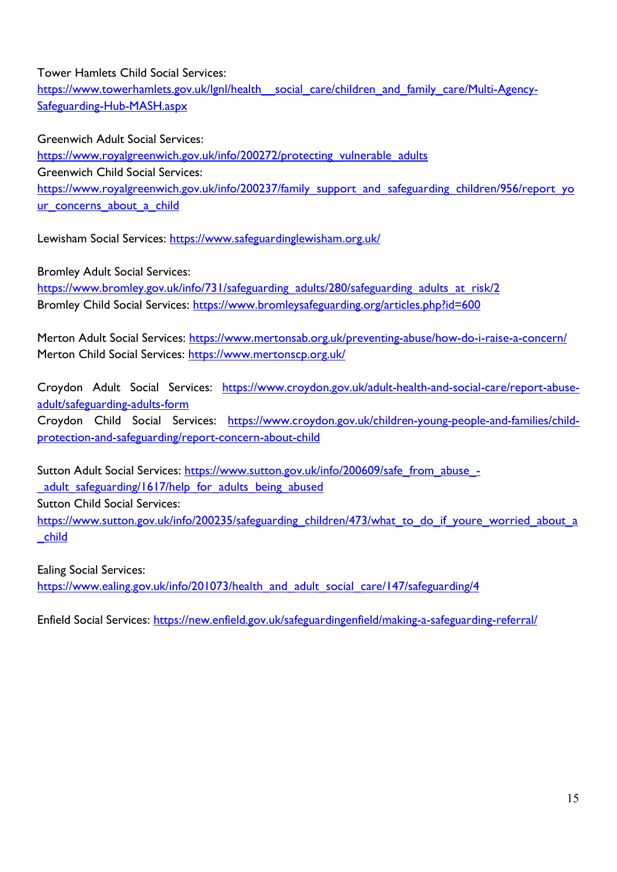Tower Hamlets Child Social Services:

https://www.towerhamlets.gov.uk/lgnl/health\_social\_care/children\_and\_family\_care/Multi-Agency-Safeguarding-Hub-MASH.aspx

Greenwich Adult Social Services:

https://www.royalgreenwich.gov.uk/info/200272/protecting\_vulnerable\_adults Greenwich Child Social Services: https://www.royalgreenwich.gov.uk/info/200237/family\_support\_and\_safeguarding\_children/956/report\_yo ur concerns about a child

Lewisham Social Services: https://www.safeguardinglewisham.org.uk/

Bromley Adult Social Services:

https://www.bromley.gov.uk/info/731/safeguarding\_adults/280/safeguarding\_adults\_at\_risk/2 Bromley Child Social Services: https://www.bromleysafeguarding.org/articles.php?id=600

Merton Adult Social Services: https://www.mertonsab.org.uk/preventing-abuse/how-do-i-raise-a-concern/ Merton Child Social Services: https://www.mertonscp.org.uk/

Croydon Adult Social Services: https://www.croydon.gov.uk/adult-health-and-social-care/report-abuseadult/safeguarding-adults-form Croydon Child Social Services: https://www.croydon.gov.uk/children-young-people-and-families/childprotection-and-safeguarding/report-concern-about-child

Sutton Adult Social Services: https://www.sutton.gov.uk/info/200609/safe\_from\_abuse\_-\_adult\_safeguarding/1617/help\_for\_adults\_being\_abused Sutton Child Social Services: https://www.sutton.gov.uk/info/200235/safeguarding children/473/what to do if youre worried about a \_child

Ealing Social Services:

https://www.ealing.gov.uk/info/201073/health\_and\_adult\_social\_care/147/safeguarding/4

Enfield Social Services: https://new.enfield.gov.uk/safeguardingenfield/making-a-safeguarding-referral/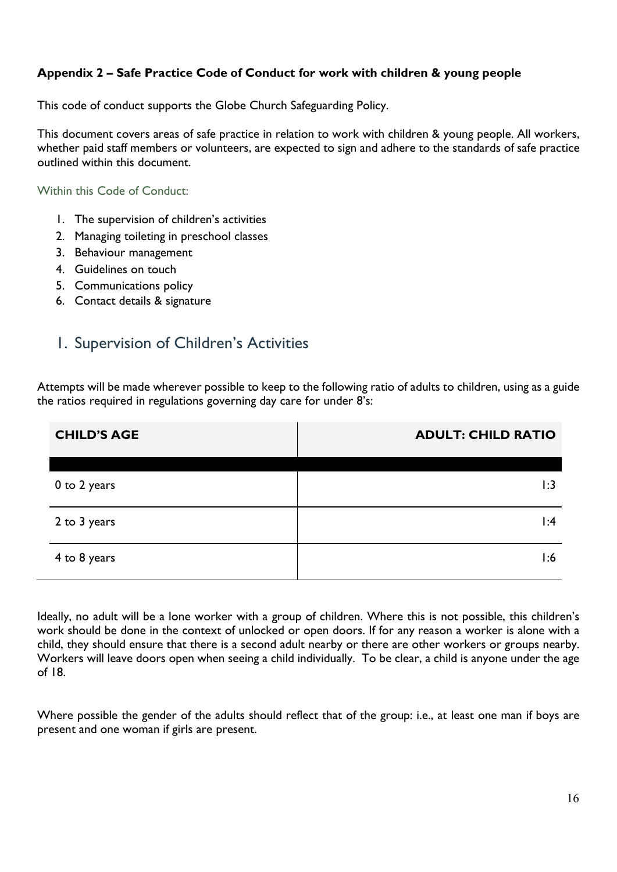#### Appendix 2 – Safe Practice Code of Conduct for work with children & young people

This code of conduct supports the Globe Church Safeguarding Policy.

This document covers areas of safe practice in relation to work with children & young people. All workers, whether paid staff members or volunteers, are expected to sign and adhere to the standards of safe practice outlined within this document.

Within this Code of Conduct:

- 1. The supervision of children's activities
- 2. Managing toileting in preschool classes
- 3. Behaviour management
- 4. Guidelines on touch
- 5. Communications policy
- 6. Contact details & signature

## 1. Supervision of Children's Activities

Attempts will be made wherever possible to keep to the following ratio of adults to children, using as a guide the ratios required in regulations governing day care for under 8's:

| <b>CHILD'S AGE</b> | <b>ADULT: CHILD RATIO</b> |
|--------------------|---------------------------|
|                    |                           |
| 0 to 2 years       | 1:3                       |
| 2 to 3 years       | $\mathsf{I}:4$            |
| 4 to 8 years       | 1:6                       |

Ideally, no adult will be a lone worker with a group of children. Where this is not possible, this children's work should be done in the context of unlocked or open doors. If for any reason a worker is alone with a child, they should ensure that there is a second adult nearby or there are other workers or groups nearby. Workers will leave doors open when seeing a child individually. To be clear, a child is anyone under the age of 18.

Where possible the gender of the adults should reflect that of the group: i.e., at least one man if boys are present and one woman if girls are present.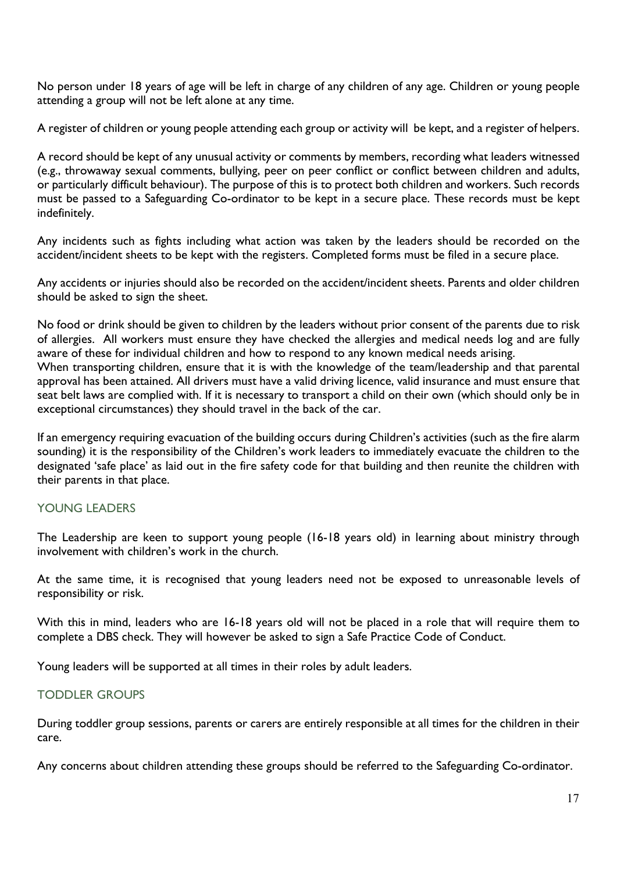No person under 18 years of age will be left in charge of any children of any age. Children or young people attending a group will not be left alone at any time.

A register of children or young people attending each group or activity will be kept, and a register of helpers.

A record should be kept of any unusual activity or comments by members, recording what leaders witnessed (e.g., throwaway sexual comments, bullying, peer on peer conflict or conflict between children and adults, or particularly difficult behaviour). The purpose of this is to protect both children and workers. Such records must be passed to a Safeguarding Co-ordinator to be kept in a secure place. These records must be kept indefinitely.

Any incidents such as fights including what action was taken by the leaders should be recorded on the accident/incident sheets to be kept with the registers. Completed forms must be filed in a secure place.

Any accidents or injuries should also be recorded on the accident/incident sheets. Parents and older children should be asked to sign the sheet.

No food or drink should be given to children by the leaders without prior consent of the parents due to risk of allergies. All workers must ensure they have checked the allergies and medical needs log and are fully aware of these for individual children and how to respond to any known medical needs arising. When transporting children, ensure that it is with the knowledge of the team/leadership and that parental approval has been attained. All drivers must have a valid driving licence, valid insurance and must ensure that seat belt laws are complied with. If it is necessary to transport a child on their own (which should only be in exceptional circumstances) they should travel in the back of the car.

If an emergency requiring evacuation of the building occurs during Children's activities (such as the fire alarm sounding) it is the responsibility of the Children's work leaders to immediately evacuate the children to the designated 'safe place' as laid out in the fire safety code for that building and then reunite the children with their parents in that place.

#### YOUNG LEADERS

The Leadership are keen to support young people (16-18 years old) in learning about ministry through involvement with children's work in the church.

At the same time, it is recognised that young leaders need not be exposed to unreasonable levels of responsibility or risk.

With this in mind, leaders who are 16-18 years old will not be placed in a role that will require them to complete a DBS check. They will however be asked to sign a Safe Practice Code of Conduct.

Young leaders will be supported at all times in their roles by adult leaders.

#### TODDLER GROUPS

During toddler group sessions, parents or carers are entirely responsible at all times for the children in their care.

Any concerns about children attending these groups should be referred to the Safeguarding Co-ordinator.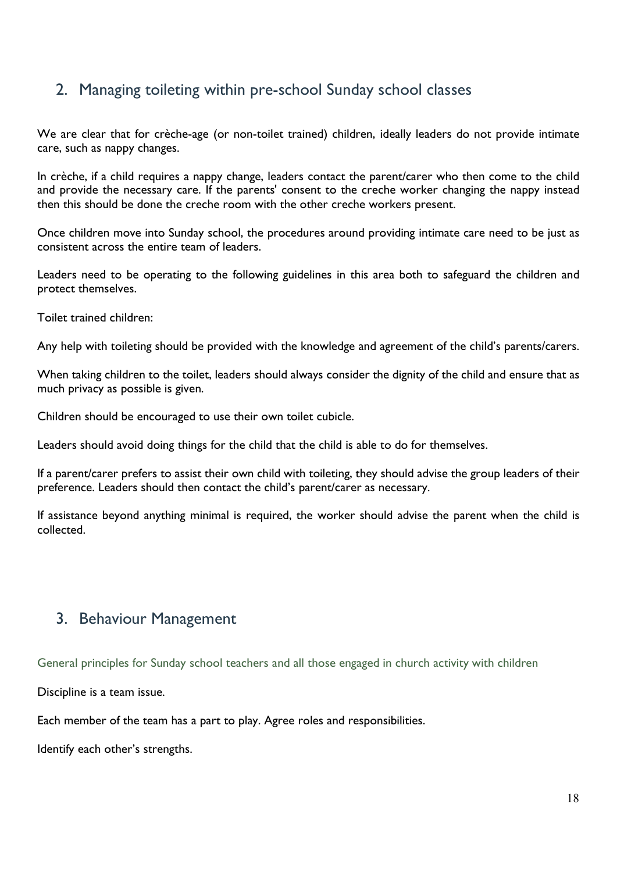## 2. Managing toileting within pre-school Sunday school classes

We are clear that for crèche-age (or non-toilet trained) children, ideally leaders do not provide intimate care, such as nappy changes.

In crèche, if a child requires a nappy change, leaders contact the parent/carer who then come to the child and provide the necessary care. If the parents' consent to the creche worker changing the nappy instead then this should be done the creche room with the other creche workers present.

Once children move into Sunday school, the procedures around providing intimate care need to be just as consistent across the entire team of leaders.

Leaders need to be operating to the following guidelines in this area both to safeguard the children and protect themselves.

Toilet trained children:

Any help with toileting should be provided with the knowledge and agreement of the child's parents/carers.

When taking children to the toilet, leaders should always consider the dignity of the child and ensure that as much privacy as possible is given.

Children should be encouraged to use their own toilet cubicle.

Leaders should avoid doing things for the child that the child is able to do for themselves.

If a parent/carer prefers to assist their own child with toileting, they should advise the group leaders of their preference. Leaders should then contact the child's parent/carer as necessary.

If assistance beyond anything minimal is required, the worker should advise the parent when the child is collected.

## 3. Behaviour Management

General principles for Sunday school teachers and all those engaged in church activity with children

Discipline is a team issue.

Each member of the team has a part to play. Agree roles and responsibilities.

Identify each other's strengths.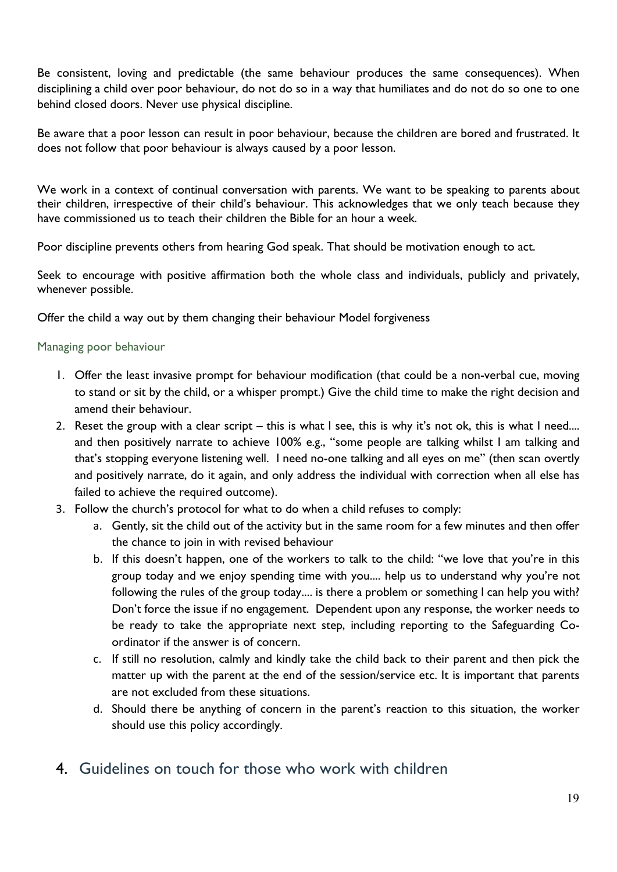Be consistent, loving and predictable (the same behaviour produces the same consequences). When disciplining a child over poor behaviour, do not do so in a way that humiliates and do not do so one to one behind closed doors. Never use physical discipline.

Be aware that a poor lesson can result in poor behaviour, because the children are bored and frustrated. It does not follow that poor behaviour is always caused by a poor lesson.

We work in a context of continual conversation with parents. We want to be speaking to parents about their children, irrespective of their child's behaviour. This acknowledges that we only teach because they have commissioned us to teach their children the Bible for an hour a week.

Poor discipline prevents others from hearing God speak. That should be motivation enough to act.

Seek to encourage with positive affirmation both the whole class and individuals, publicly and privately, whenever possible.

Offer the child a way out by them changing their behaviour Model forgiveness

#### Managing poor behaviour

- 1. Offer the least invasive prompt for behaviour modification (that could be a non-verbal cue, moving to stand or sit by the child, or a whisper prompt.) Give the child time to make the right decision and amend their behaviour.
- 2. Reset the group with a clear script this is what I see, this is why it's not ok, this is what I need.... and then positively narrate to achieve 100% e.g., "some people are talking whilst I am talking and that's stopping everyone listening well. I need no-one talking and all eyes on me" (then scan overtly and positively narrate, do it again, and only address the individual with correction when all else has failed to achieve the required outcome).
- 3. Follow the church's protocol for what to do when a child refuses to comply:
	- a. Gently, sit the child out of the activity but in the same room for a few minutes and then offer the chance to join in with revised behaviour
	- b. If this doesn't happen, one of the workers to talk to the child: "we love that you're in this group today and we enjoy spending time with you.... help us to understand why you're not following the rules of the group today.... is there a problem or something I can help you with? Don't force the issue if no engagement. Dependent upon any response, the worker needs to be ready to take the appropriate next step, including reporting to the Safeguarding Coordinator if the answer is of concern.
	- c. If still no resolution, calmly and kindly take the child back to their parent and then pick the matter up with the parent at the end of the session/service etc. It is important that parents are not excluded from these situations.
	- d. Should there be anything of concern in the parent's reaction to this situation, the worker should use this policy accordingly.
- 4. Guidelines on touch for those who work with children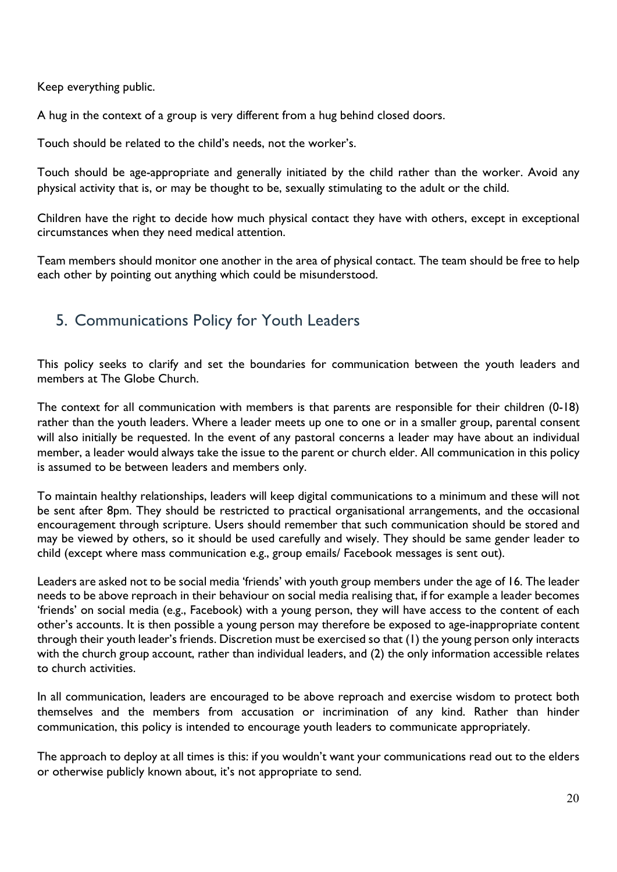Keep everything public.

A hug in the context of a group is very different from a hug behind closed doors.

Touch should be related to the child's needs, not the worker's.

Touch should be age-appropriate and generally initiated by the child rather than the worker. Avoid any physical activity that is, or may be thought to be, sexually stimulating to the adult or the child.

Children have the right to decide how much physical contact they have with others, except in exceptional circumstances when they need medical attention.

Team members should monitor one another in the area of physical contact. The team should be free to help each other by pointing out anything which could be misunderstood.

## 5. Communications Policy for Youth Leaders

This policy seeks to clarify and set the boundaries for communication between the youth leaders and members at The Globe Church.

The context for all communication with members is that parents are responsible for their children (0-18) rather than the youth leaders. Where a leader meets up one to one or in a smaller group, parental consent will also initially be requested. In the event of any pastoral concerns a leader may have about an individual member, a leader would always take the issue to the parent or church elder. All communication in this policy is assumed to be between leaders and members only.

To maintain healthy relationships, leaders will keep digital communications to a minimum and these will not be sent after 8pm. They should be restricted to practical organisational arrangements, and the occasional encouragement through scripture. Users should remember that such communication should be stored and may be viewed by others, so it should be used carefully and wisely. They should be same gender leader to child (except where mass communication e.g., group emails/ Facebook messages is sent out).

Leaders are asked not to be social media 'friends' with youth group members under the age of 16. The leader needs to be above reproach in their behaviour on social media realising that, if for example a leader becomes 'friends' on social media (e.g., Facebook) with a young person, they will have access to the content of each other's accounts. It is then possible a young person may therefore be exposed to age-inappropriate content through their youth leader's friends. Discretion must be exercised so that (1) the young person only interacts with the church group account, rather than individual leaders, and (2) the only information accessible relates to church activities.

In all communication, leaders are encouraged to be above reproach and exercise wisdom to protect both themselves and the members from accusation or incrimination of any kind. Rather than hinder communication, this policy is intended to encourage youth leaders to communicate appropriately.

The approach to deploy at all times is this: if you wouldn't want your communications read out to the elders or otherwise publicly known about, it's not appropriate to send.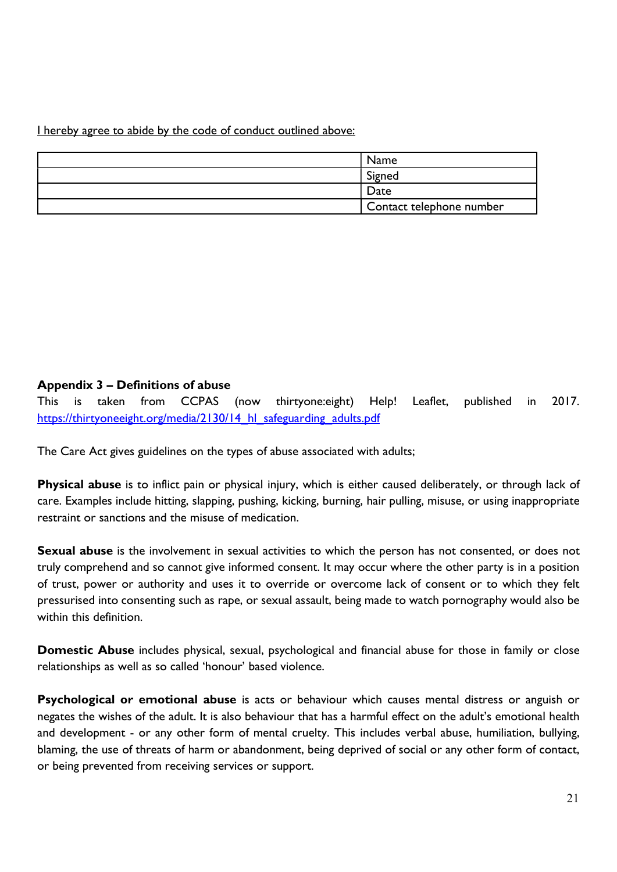I hereby agree to abide by the code of conduct outlined above:

| <b>Name</b>              |
|--------------------------|
| Signed                   |
| Date                     |
| Contact telephone number |

#### Appendix 3 – Definitions of abuse

This is taken from CCPAS (now thirtyone:eight) Help! Leaflet, published in 2017. https://thirtyoneeight.org/media/2130/14 hl\_safeguarding\_adults.pdf

The Care Act gives guidelines on the types of abuse associated with adults;

Physical abuse is to inflict pain or physical injury, which is either caused deliberately, or through lack of care. Examples include hitting, slapping, pushing, kicking, burning, hair pulling, misuse, or using inappropriate restraint or sanctions and the misuse of medication.

**Sexual abuse** is the involvement in sexual activities to which the person has not consented, or does not truly comprehend and so cannot give informed consent. It may occur where the other party is in a position of trust, power or authority and uses it to override or overcome lack of consent or to which they felt pressurised into consenting such as rape, or sexual assault, being made to watch pornography would also be within this definition.

Domestic Abuse includes physical, sexual, psychological and financial abuse for those in family or close relationships as well as so called 'honour' based violence.

Psychological or emotional abuse is acts or behaviour which causes mental distress or anguish or negates the wishes of the adult. It is also behaviour that has a harmful effect on the adult's emotional health and development - or any other form of mental cruelty. This includes verbal abuse, humiliation, bullying, blaming, the use of threats of harm or abandonment, being deprived of social or any other form of contact, or being prevented from receiving services or support.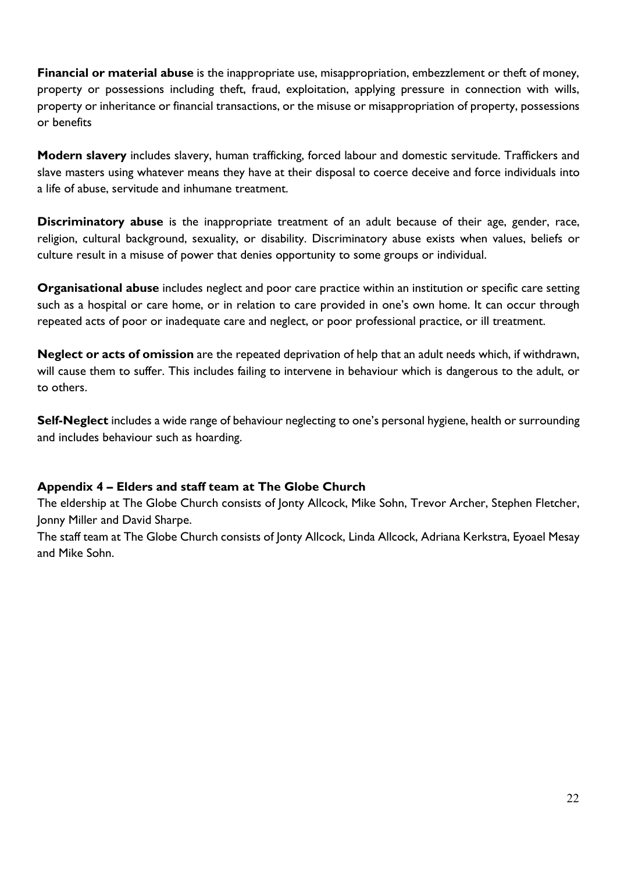Financial or material abuse is the inappropriate use, misappropriation, embezzlement or theft of money, property or possessions including theft, fraud, exploitation, applying pressure in connection with wills, property or inheritance or financial transactions, or the misuse or misappropriation of property, possessions or benefits

Modern slavery includes slavery, human trafficking, forced labour and domestic servitude. Traffickers and slave masters using whatever means they have at their disposal to coerce deceive and force individuals into a life of abuse, servitude and inhumane treatment.

Discriminatory abuse is the inappropriate treatment of an adult because of their age, gender, race, religion, cultural background, sexuality, or disability. Discriminatory abuse exists when values, beliefs or culture result in a misuse of power that denies opportunity to some groups or individual.

Organisational abuse includes neglect and poor care practice within an institution or specific care setting such as a hospital or care home, or in relation to care provided in one's own home. It can occur through repeated acts of poor or inadequate care and neglect, or poor professional practice, or ill treatment.

Neglect or acts of omission are the repeated deprivation of help that an adult needs which, if withdrawn, will cause them to suffer. This includes failing to intervene in behaviour which is dangerous to the adult, or to others.

Self-Neglect includes a wide range of behaviour neglecting to one's personal hygiene, health or surrounding and includes behaviour such as hoarding.

#### Appendix 4 – Elders and staff team at The Globe Church

The eldership at The Globe Church consists of Jonty Allcock, Mike Sohn, Trevor Archer, Stephen Fletcher, Jonny Miller and David Sharpe.

The staff team at The Globe Church consists of Jonty Allcock, Linda Allcock, Adriana Kerkstra, Eyoael Mesay and Mike Sohn.